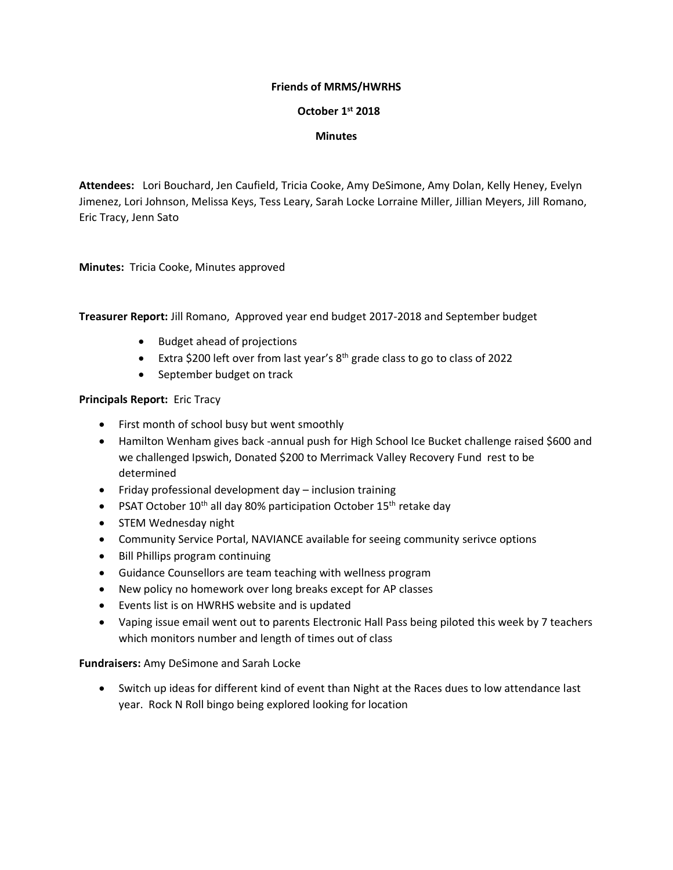### **Friends of MRMS/HWRHS**

### **October 1st 2018**

### **Minutes**

**Attendees:** Lori Bouchard, Jen Caufield, Tricia Cooke, Amy DeSimone, Amy Dolan, Kelly Heney, Evelyn Jimenez, Lori Johnson, Melissa Keys, Tess Leary, Sarah Locke Lorraine Miller, Jillian Meyers, Jill Romano, Eric Tracy, Jenn Sato

**Minutes:** Tricia Cooke, Minutes approved

**Treasurer Report:** Jill Romano, Approved year end budget 2017-2018 and September budget

- Budget ahead of projections
- Extra \$200 left over from last year's 8<sup>th</sup> grade class to go to class of 2022
- September budget on track

## **Principals Report:** Eric Tracy

- First month of school busy but went smoothly
- Hamilton Wenham gives back -annual push for High School Ice Bucket challenge raised \$600 and we challenged Ipswich, Donated \$200 to Merrimack Valley Recovery Fund rest to be determined
- Friday professional development day inclusion training
- PSAT October 10<sup>th</sup> all day 80% participation October 15<sup>th</sup> retake day
- STEM Wednesday night
- Community Service Portal, NAVIANCE available for seeing community serivce options
- Bill Phillips program continuing
- Guidance Counsellors are team teaching with wellness program
- New policy no homework over long breaks except for AP classes
- Events list is on HWRHS website and is updated
- Vaping issue email went out to parents Electronic Hall Pass being piloted this week by 7 teachers which monitors number and length of times out of class

# **Fundraisers:** Amy DeSimone and Sarah Locke

• Switch up ideas for different kind of event than Night at the Races dues to low attendance last year. Rock N Roll bingo being explored looking for location